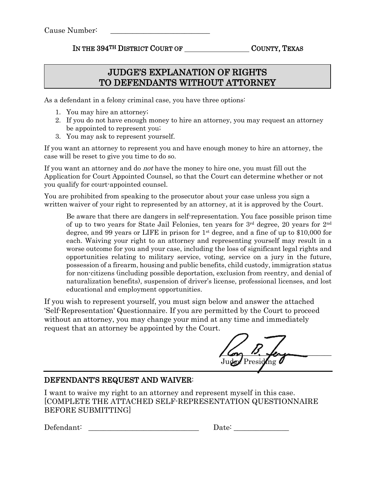## IN THE 394<sup>TH</sup> DISTRICT COURT OF COUNTY, TEXAS

## JUDGE'S EXPLANATION OF RIGHTS TO DEFENDANTS WITHOUT ATTORNEY

As a defendant in a felony criminal case, you have three options:

- 1. You may hire an attorney;
- 2. If you do not have enough money to hire an attorney, you may request an attorney be appointed to represent you;
- 3. You may ask to represent yourself.

If you want an attorney to represent you and have enough money to hire an attorney, the case will be reset to give you time to do so.

If you want an attorney and do not have the money to hire one, you must fill out the Application for Court Appointed Counsel, so that the Court can determine whether or not you qualify for court-appointed counsel.

You are prohibited from speaking to the prosecutor about your case unless you sign a written waiver of your right to represented by an attorney, at it is approved by the Court.

Be aware that there are dangers in self-representation. You face possible prison time of up to two years for State Jail Felonies, ten years for  $3<sup>rd</sup>$  degree, 20 years for  $2<sup>nd</sup>$ degree, and 99 years or LIFE in prison for 1st degree, and a fine of up to \$10,000 for each. Waiving your right to an attorney and representing yourself may result in a worse outcome for you and your case, including the loss of significant legal rights and opportunities relating to military service, voting, service on a jury in the future, possession of a firearm, housing and public benefits, child custody, immigration status for non-citizens (including possible deportation, exclusion from reentry, and denial of naturalization benefits), suspension of driver's license, professional licenses, and lost educational and employment opportunities.

If you wish to represent yourself, you must sign below and answer the attached 'Self-Representation' Questionnaire. If you are permitted by the Court to proceed without an attorney, you may change your mind at any time and immediately request that an attorney be appointed by the Court.

 $U_{\rm env}$   $D_{\rm v}$  ferment Judge Presiding

## DEFENDANT'S REQUEST AND WAIVER:

I want to waive my right to an attorney and represent myself in this case. [COMPLETE THE ATTACHED SELF-REPRESENTATION QUESTIONNAIRE BEFORE SUBMITTING]

 $Defendant$ :

| Date: |  |  |
|-------|--|--|
|       |  |  |